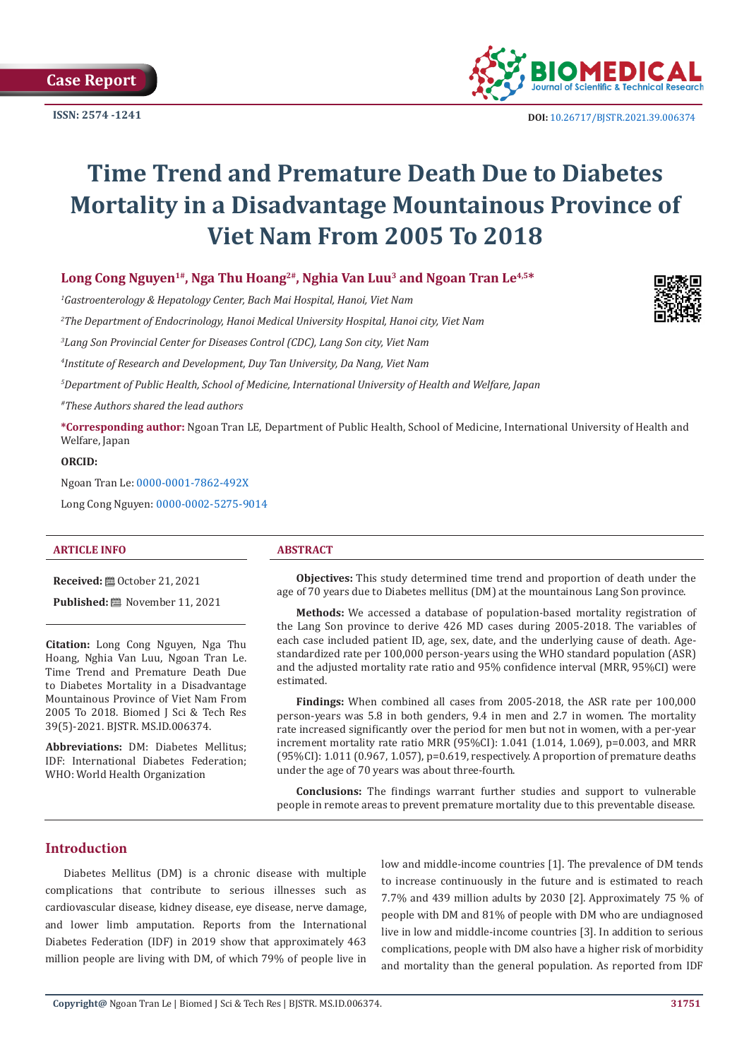**Case Report**

**ISSN: 2574 -1241**



 **DOI:** [10.26717/BJSTR.2021.39.006374](https://dx.doi.org/10.26717/BJSTR.2021.39.006374)

# **Time Trend and Premature Death Due to Diabetes Mortality in a Disadvantage Mountainous Province of Viet Nam From 2005 To 2018**

Long Cong Nguyen<sup>1#</sup>, Nga Thu Hoang<sup>2#</sup>, Nghia Van Luu<sup>3</sup> and Ngoan Tran Le<sup>4,5\*</sup>

*1 Gastroenterology & Hepatology Center, Bach Mai Hospital, Hanoi, Viet Nam*

*2 The Department of Endocrinology, Hanoi Medical University Hospital, Hanoi city, Viet Nam*

*3 Lang Son Provincial Center for Diseases Control (CDC), Lang Son city, Viet Nam*

*4 Institute of Research and Development, Duy Tan University, Da Nang, Viet Nam* 

*5 Department of Public Health, School of Medicine, International University of Health and Welfare, Japan*

*#These Authors shared the lead authors*

**\*Corresponding author:** Ngoan Tran LE, Department of Public Health, School of Medicine, International University of Health and Welfare, Japan

**ORCID:**

Ngoan Tran Le: [0000-0001-7862-492X](https://orcid.org/0000-0001-7862-492X) Long Cong Nguyen: [0000-0002-5275-9014](https://orcid.org/0000-0002-5275-9014)

#### **ARTICLE INFO ABSTRACT**

**Received:** ■ October 21, 2021

**Published:** November 11, 2021

**Citation:** Long Cong Nguyen, Nga Thu Hoang, Nghia Van Luu, Ngoan Tran Le. Time Trend and Premature Death Due to Diabetes Mortality in a Disadvantage Mountainous Province of Viet Nam From 2005 To 2018. Biomed J Sci & Tech Res 39(5)-2021. BJSTR. MS.ID.006374.

**Abbreviations:** DM: Diabetes Mellitus; IDF: International Diabetes Federation; WHO: World Health Organization

**Objectives:** This study determined time trend and proportion of death under the age of 70 years due to Diabetes mellitus (DM) at the mountainous Lang Son province.

**Methods:** We accessed a database of population-based mortality registration of the Lang Son province to derive 426 MD cases during 2005-2018. The variables of each case included patient ID, age, sex, date, and the underlying cause of death. Agestandardized rate per 100,000 person-years using the WHO standard population (ASR) and the adjusted mortality rate ratio and 95% confidence interval (MRR, 95%CI) were estimated.

**Findings:** When combined all cases from 2005-2018, the ASR rate per 100,000 person-years was 5.8 in both genders, 9.4 in men and 2.7 in women. The mortality rate increased significantly over the period for men but not in women, with a per-year increment mortality rate ratio MRR (95%CI): 1.041 (1.014, 1.069), p=0.003, and MRR (95%CI): 1.011 (0.967, 1.057), p=0.619, respectively. A proportion of premature deaths under the age of 70 years was about three-fourth.

**Conclusions:** The findings warrant further studies and support to vulnerable people in remote areas to prevent premature mortality due to this preventable disease.

# **Introduction**

Diabetes Mellitus (DM) is a chronic disease with multiple complications that contribute to serious illnesses such as cardiovascular disease, kidney disease, eye disease, nerve damage, and lower limb amputation. Reports from the International Diabetes Federation (IDF) in 2019 show that approximately 463 million people are living with DM, of which 79% of people live in

low and middle-income countries [1]. The prevalence of DM tends to increase continuously in the future and is estimated to reach 7.7% and 439 million adults by 2030 [2]. Approximately 75 % of people with DM and 81% of people with DM who are undiagnosed live in low and middle-income countries [3]. In addition to serious complications, people with DM also have a higher risk of morbidity and mortality than the general population. As reported from IDF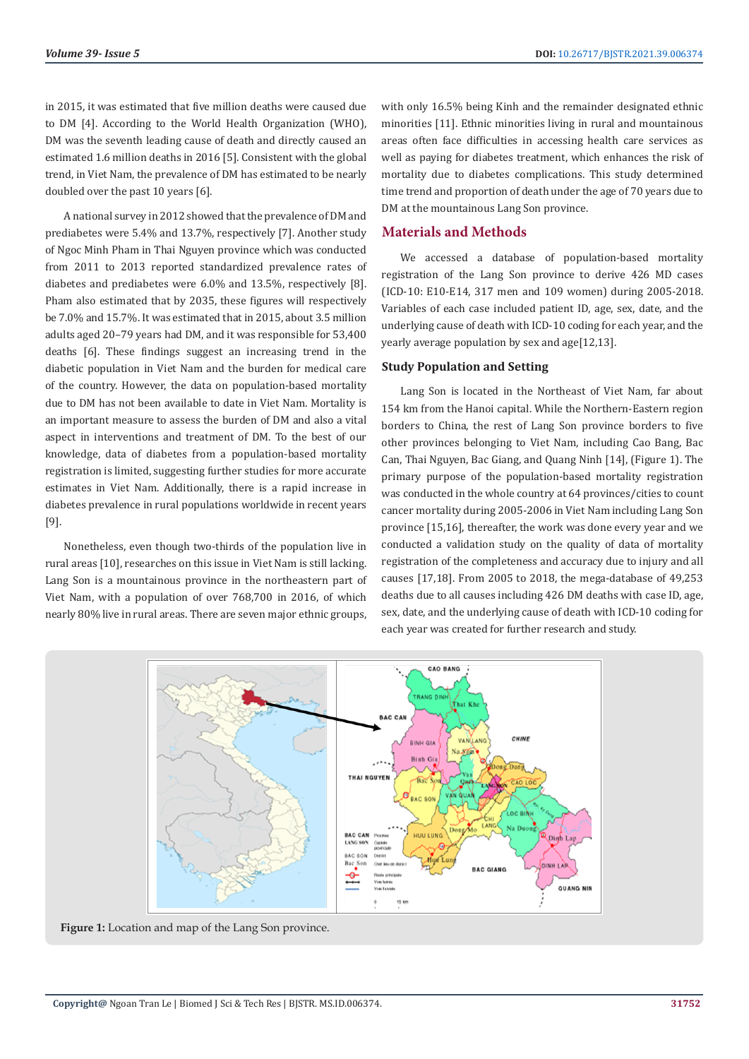in 2015, it was estimated that five million deaths were caused due to DM [4]. According to the World Health Organization (WHO), DM was the seventh leading cause of death and directly caused an estimated 1.6 million deaths in 2016 [5]. Consistent with the global trend, in Viet Nam, the prevalence of DM has estimated to be nearly doubled over the past 10 years [6].

A national survey in 2012 showed that the prevalence of DM and prediabetes were 5.4% and 13.7%, respectively [7]. Another study of Ngoc Minh Pham in Thai Nguyen province which was conducted from 2011 to 2013 reported standardized prevalence rates of diabetes and prediabetes were 6.0% and 13.5%, respectively [8]. Pham also estimated that by 2035, these figures will respectively be 7.0% and 15.7%. It was estimated that in 2015, about 3.5 million adults aged 20–79 years had DM, and it was responsible for 53,400 deaths [6]. These findings suggest an increasing trend in the diabetic population in Viet Nam and the burden for medical care of the country. However, the data on population-based mortality due to DM has not been available to date in Viet Nam. Mortality is an important measure to assess the burden of DM and also a vital aspect in interventions and treatment of DM. To the best of our knowledge, data of diabetes from a population-based mortality registration is limited, suggesting further studies for more accurate estimates in Viet Nam. Additionally, there is a rapid increase in diabetes prevalence in rural populations worldwide in recent years [9].

Nonetheless, even though two-thirds of the population live in rural areas [10], researches on this issue in Viet Nam is still lacking. Lang Son is a mountainous province in the northeastern part of Viet Nam, with a population of over 768,700 in 2016, of which nearly 80% live in rural areas. There are seven major ethnic groups,

with only 16.5% being Kinh and the remainder designated ethnic minorities [11]. Ethnic minorities living in rural and mountainous areas often face difficulties in accessing health care services as well as paying for diabetes treatment, which enhances the risk of mortality due to diabetes complications. This study determined time trend and proportion of death under the age of 70 years due to DM at the mountainous Lang Son province.

# **Materials and Methods**

We accessed a database of population-based mortality registration of the Lang Son province to derive 426 MD cases (ICD-10: E10-E14, 317 men and 109 women) during 2005-2018. Variables of each case included patient ID, age, sex, date, and the underlying cause of death with ICD-10 coding for each year, and the yearly average population by sex and age[12,13].

#### **Study Population and Setting**

Lang Son is located in the Northeast of Viet Nam, far about 154 km from the Hanoi capital. While the Northern-Eastern region borders to China, the rest of Lang Son province borders to five other provinces belonging to Viet Nam, including Cao Bang, Bac Can, Thai Nguyen, Bac Giang, and Quang Ninh [14], (Figure 1). The primary purpose of the population-based mortality registration was conducted in the whole country at 64 provinces/cities to count cancer mortality during 2005-2006 in Viet Nam including Lang Son province [15,16], thereafter, the work was done every year and we conducted a validation study on the quality of data of mortality registration of the completeness and accuracy due to injury and all causes [17,18]. From 2005 to 2018, the mega-database of 49,253 deaths due to all causes including 426 DM deaths with case ID, age, sex, date, and the underlying cause of death with ICD-10 coding for each year was created for further research and study.



**Figure 1:** Location and map of the Lang Son province.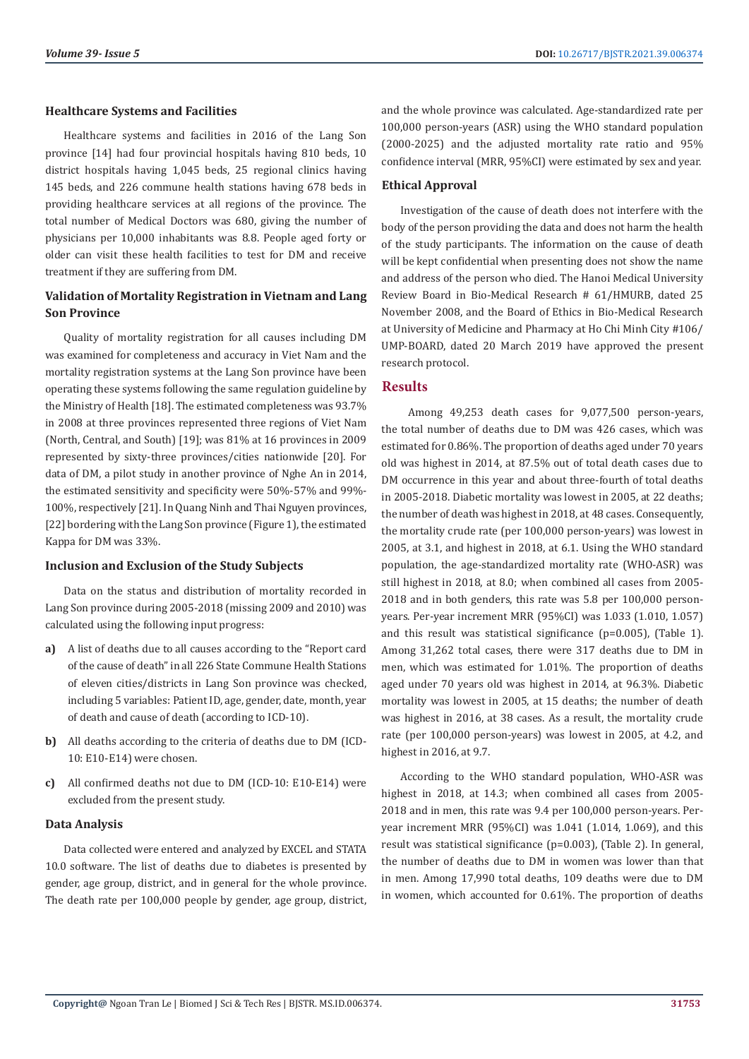#### **Healthcare Systems and Facilities**

Healthcare systems and facilities in 2016 of the Lang Son province [14] had four provincial hospitals having 810 beds, 10 district hospitals having 1,045 beds, 25 regional clinics having 145 beds, and 226 commune health stations having 678 beds in providing healthcare services at all regions of the province. The total number of Medical Doctors was 680, giving the number of physicians per 10,000 inhabitants was 8.8. People aged forty or older can visit these health facilities to test for DM and receive treatment if they are suffering from DM.

## **Validation of Mortality Registration in Vietnam and Lang Son Province**

Quality of mortality registration for all causes including DM was examined for completeness and accuracy in Viet Nam and the mortality registration systems at the Lang Son province have been operating these systems following the same regulation guideline by the Ministry of Health [18]. The estimated completeness was 93.7% in 2008 at three provinces represented three regions of Viet Nam (North, Central, and South) [19]; was 81% at 16 provinces in 2009 represented by sixty-three provinces/cities nationwide [20]. For data of DM, a pilot study in another province of Nghe An in 2014, the estimated sensitivity and specificity were 50%-57% and 99%- 100%, respectively [21]. In Quang Ninh and Thai Nguyen provinces, [22] bordering with the Lang Son province (Figure 1), the estimated Kappa for DM was 33%.

#### **Inclusion and Exclusion of the Study Subjects**

Data on the status and distribution of mortality recorded in Lang Son province during 2005-2018 (missing 2009 and 2010) was calculated using the following input progress:

- **a)** A list of deaths due to all causes according to the "Report card of the cause of death" in all 226 State Commune Health Stations of eleven cities/districts in Lang Son province was checked, including 5 variables: Patient ID, age, gender, date, month, year of death and cause of death (according to ICD-10).
- **b)** All deaths according to the criteria of deaths due to DM (ICD-10: E10-E14) were chosen.
- **c)** All confirmed deaths not due to DM (ICD-10: E10-E14) were excluded from the present study.

#### **Data Analysis**

Data collected were entered and analyzed by EXCEL and STATA 10.0 software. The list of deaths due to diabetes is presented by gender, age group, district, and in general for the whole province. The death rate per 100,000 people by gender, age group, district, and the whole province was calculated. Age-standardized rate per 100,000 person-years (ASR) using the WHO standard population (2000-2025) and the adjusted mortality rate ratio and 95% confidence interval (MRR, 95%CI) were estimated by sex and year.

#### **Ethical Approval**

Investigation of the cause of death does not interfere with the body of the person providing the data and does not harm the health of the study participants. The information on the cause of death will be kept confidential when presenting does not show the name and address of the person who died. The Hanoi Medical University Review Board in Bio-Medical Research # 61/HMURB, dated 25 November 2008, and the Board of Ethics in Bio-Medical Research at University of Medicine and Pharmacy at Ho Chi Minh City #106/ UMP-BOARD, dated 20 March 2019 have approved the present research protocol.

#### **Results**

 Among 49,253 death cases for 9,077,500 person-years, the total number of deaths due to DM was 426 cases, which was estimated for 0.86%. The proportion of deaths aged under 70 years old was highest in 2014, at 87.5% out of total death cases due to DM occurrence in this year and about three-fourth of total deaths in 2005-2018. Diabetic mortality was lowest in 2005, at 22 deaths; the number of death was highest in 2018, at 48 cases. Consequently, the mortality crude rate (per 100,000 person-years) was lowest in 2005, at 3.1, and highest in 2018, at 6.1. Using the WHO standard population, the age-standardized mortality rate (WHO-ASR) was still highest in 2018, at 8.0; when combined all cases from 2005- 2018 and in both genders, this rate was 5.8 per 100,000 personyears. Per-year increment MRR (95%CI) was 1.033 (1.010, 1.057) and this result was statistical significance (p=0.005), (Table 1). Among 31,262 total cases, there were 317 deaths due to DM in men, which was estimated for 1.01%. The proportion of deaths aged under 70 years old was highest in 2014, at 96.3%. Diabetic mortality was lowest in 2005, at 15 deaths; the number of death was highest in 2016, at 38 cases. As a result, the mortality crude rate (per 100,000 person-years) was lowest in 2005, at 4.2, and highest in 2016, at 9.7.

According to the WHO standard population, WHO-ASR was highest in 2018, at 14.3; when combined all cases from 2005- 2018 and in men, this rate was 9.4 per 100,000 person-years. Peryear increment MRR (95%CI) was 1.041 (1.014, 1.069), and this result was statistical significance (p=0.003), (Table 2). In general, the number of deaths due to DM in women was lower than that in men. Among 17,990 total deaths, 109 deaths were due to DM in women, which accounted for 0.61%. The proportion of deaths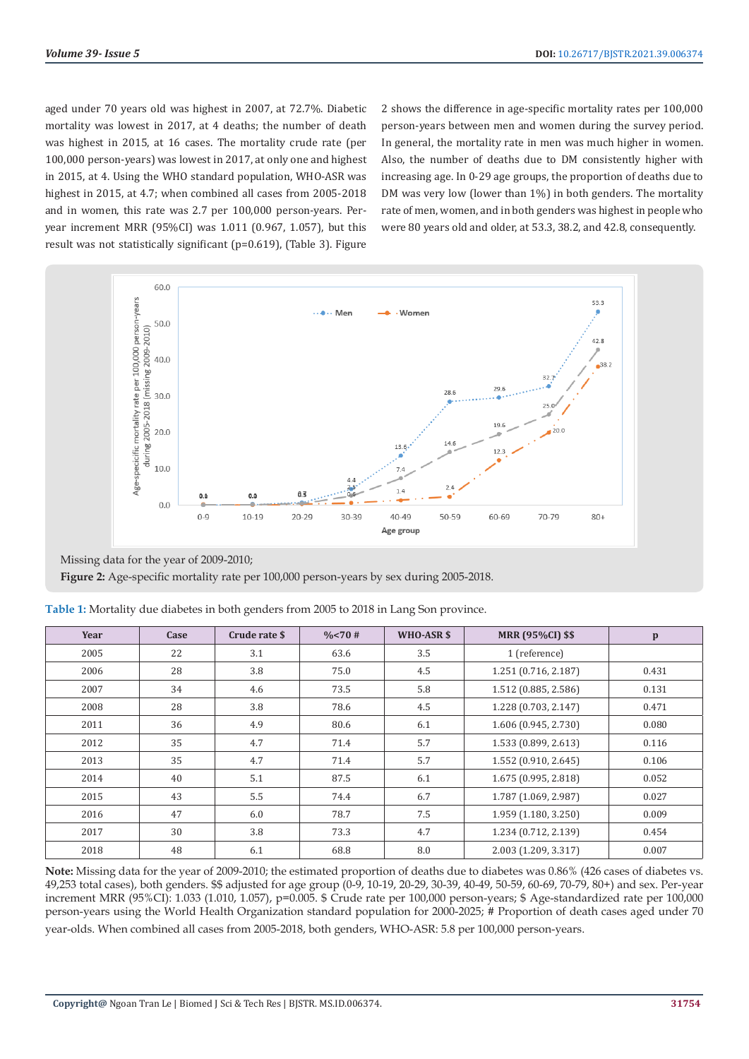aged under 70 years old was highest in 2007, at 72.7%. Diabetic mortality was lowest in 2017, at 4 deaths; the number of death was highest in 2015, at 16 cases. The mortality crude rate (per 100,000 person-years) was lowest in 2017, at only one and highest in 2015, at 4. Using the WHO standard population, WHO-ASR was highest in 2015, at 4.7; when combined all cases from 2005-2018 and in women, this rate was 2.7 per 100,000 person-years. Peryear increment MRR (95%CI) was 1.011 (0.967, 1.057), but this result was not statistically significant (p=0.619), (Table 3). Figure

2 shows the difference in age-specific mortality rates per 100,000 person-years between men and women during the survey period. In general, the mortality rate in men was much higher in women. Also, the number of deaths due to DM consistently higher with increasing age. In 0-29 age groups, the proportion of deaths due to DM was very low (lower than 1%) in both genders. The mortality rate of men, women, and in both genders was highest in people who were 80 years old and older, at 53.3, 38.2, and 42.8, consequently.



Missing data for the year of 2009-2010; **Figure 2:** Age-specific mortality rate per 100,000 person-years by sex during 2005-2018.

| Year | Case | Crude rate \$ | $\frac{0}{6}$ < 70 # | WHO-ASR \$ | <b>MRR (95%CI) \$\$</b> | $\mathbf{p}$ |
|------|------|---------------|----------------------|------------|-------------------------|--------------|
| 2005 | 22   | 3.1           | 63.6                 | 3.5        | 1 (reference)           |              |
| 2006 | 28   | 3.8           | 75.0                 | 4.5        | 1.251 (0.716, 2.187)    | 0.431        |
| 2007 | 34   | 4.6           | 73.5                 | 5.8        | 1.512 (0.885, 2.586)    | 0.131        |
| 2008 | 28   | 3.8           | 78.6                 | 4.5        | 1.228 (0.703, 2.147)    | 0.471        |
| 2011 | 36   | 4.9           | 80.6                 | 6.1        | 1.606 (0.945, 2.730)    | 0.080        |
| 2012 | 35   | 4.7           | 71.4                 | 5.7        | 1.533 (0.899, 2.613)    | 0.116        |
| 2013 | 35   | 4.7           | 71.4                 | 5.7        | 1.552 (0.910, 2.645)    | 0.106        |
| 2014 | 40   | 5.1           | 87.5                 | 6.1        | 1.675 (0.995, 2.818)    | 0.052        |
| 2015 | 43   | 5.5           | 74.4                 | 6.7        | 1.787 (1.069, 2.987)    | 0.027        |
| 2016 | 47   | 6.0           | 78.7                 | 7.5        | 1.959 (1.180, 3.250)    | 0.009        |
| 2017 | 30   | 3.8           | 73.3                 | 4.7        | 1.234 (0.712, 2.139)    | 0.454        |
| 2018 | 48   | 6.1           | 68.8                 | 8.0        | 2.003 (1.209, 3.317)    | 0.007        |

**Table 1:** Mortality due diabetes in both genders from 2005 to 2018 in Lang Son province.

**Note:** Missing data for the year of 2009-2010; the estimated proportion of deaths due to diabetes was 0.86% (426 cases of diabetes vs. 49,253 total cases), both genders. \$\$ adjusted for age group (0-9, 10-19, 20-29, 30-39, 40-49, 50-59, 60-69, 70-79, 80+) and sex. Per-year increment MRR (95%CI): 1.033 (1.010, 1.057), p=0.005. \$ Crude rate per 100,000 person-years; \$ Age-standardized rate per 100,000 person-years using the World Health Organization standard population for 2000-2025; # Proportion of death cases aged under 70 year-olds. When combined all cases from 2005-2018, both genders, WHO-ASR: 5.8 per 100,000 person-years.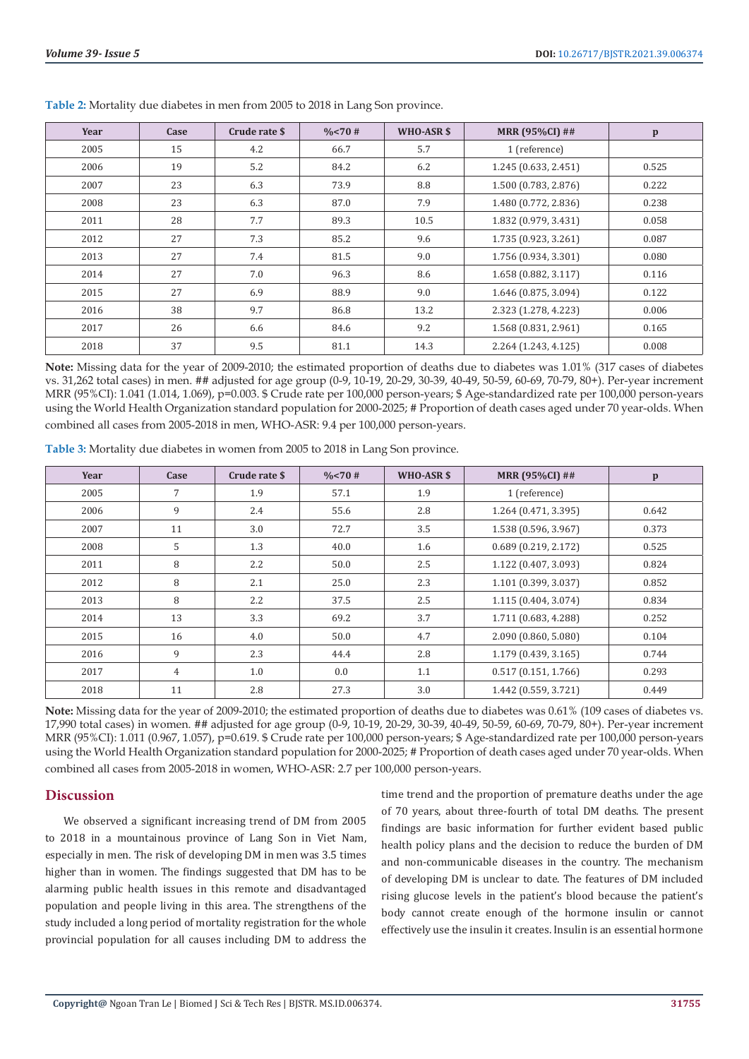| Year | Case | Crude rate \$ | $\frac{0}{6}$ < 70 # | WHO-ASR \$ | <b>MRR (95%CI) ##</b> | $\mathbf{p}$ |
|------|------|---------------|----------------------|------------|-----------------------|--------------|
| 2005 | 15   | 4.2           | 66.7                 | 5.7        | 1 (reference)         |              |
| 2006 | 19   | 5.2           | 84.2                 | 6.2        | 1.245 (0.633, 2.451)  | 0.525        |
| 2007 | 23   | 6.3           | 73.9                 | 8.8        | 1.500 (0.783, 2.876)  | 0.222        |
| 2008 | 23   | 6.3           | 87.0                 | 7.9        | 1.480 (0.772, 2.836)  | 0.238        |
| 2011 | 28   | 7.7           | 89.3                 | 10.5       | 1.832 (0.979, 3.431)  | 0.058        |
| 2012 | 27   | 7.3           | 85.2                 | 9.6        | 1.735 (0.923, 3.261)  | 0.087        |
| 2013 | 27   | 7.4           | 81.5                 | 9.0        | 1.756 (0.934, 3.301)  | 0.080        |
| 2014 | 27   | 7.0           | 96.3                 | 8.6        | 1.658 (0.882, 3.117)  | 0.116        |
| 2015 | 27   | 6.9           | 88.9                 | 9.0        | 1.646 (0.875, 3.094)  | 0.122        |
| 2016 | 38   | 9.7           | 86.8                 | 13.2       | 2.323 (1.278, 4.223)  | 0.006        |
| 2017 | 26   | 6.6           | 84.6                 | 9.2        | 1.568 (0.831, 2.961)  | 0.165        |
| 2018 | 37   | 9.5           | 81.1                 | 14.3       | 2.264 (1.243, 4.125)  | 0.008        |

**Table 2:** Mortality due diabetes in men from 2005 to 2018 in Lang Son province.

**Note:** Missing data for the year of 2009-2010; the estimated proportion of deaths due to diabetes was 1.01% (317 cases of diabetes vs. 31,262 total cases) in men. ## adjusted for age group (0-9, 10-19, 20-29, 30-39, 40-49, 50-59, 60-69, 70-79, 80+). Per-year increment MRR (95%CI): 1.041 (1.014, 1.069), p=0.003. \$ Crude rate per 100,000 person-years; \$ Age-standardized rate per 100,000 person-years using the World Health Organization standard population for 2000-2025; # Proportion of death cases aged under 70 year-olds. When combined all cases from 2005-2018 in men, WHO-ASR: 9.4 per 100,000 person-years.

| Year | Case           | Crude rate \$ | $\frac{0}{6}$ < 70 # | WHO-ASR \$ | <b>MRR (95%CI) ##</b> | $\mathbf{p}$ |
|------|----------------|---------------|----------------------|------------|-----------------------|--------------|
| 2005 | 7              | 1.9           | 57.1                 | 1.9        | 1 (reference)         |              |
| 2006 | 9              | 2.4           | 55.6                 | 2.8        | 1.264 (0.471, 3.395)  | 0.642        |
| 2007 | 11             | 3.0           | 72.7                 | 3.5        | 1.538 (0.596, 3.967)  | 0.373        |
| 2008 | 5              | 1.3           | 40.0                 | 1.6        | 0.689(0.219, 2.172)   | 0.525        |
| 2011 | 8              | 2.2           | 50.0                 | 2.5        | 1.122 (0.407, 3.093)  | 0.824        |
| 2012 | 8              | 2.1           | 25.0                 | 2.3        | 1.101 (0.399, 3.037)  | 0.852        |
| 2013 | 8              | 2.2           | 37.5                 | 2.5        | 1.115 (0.404, 3.074)  | 0.834        |
| 2014 | 13             | 3.3           | 69.2                 | 3.7        | 1.711 (0.683, 4.288)  | 0.252        |
| 2015 | 16             | 4.0           | 50.0                 | 4.7        | 2.090 (0.860, 5.080)  | 0.104        |
| 2016 | 9              | 2.3           | 44.4                 | 2.8        | 1.179 (0.439, 3.165)  | 0.744        |
| 2017 | $\overline{4}$ | 1.0           | 0.0                  | 1.1        | 0.517(0.151, 1.766)   | 0.293        |
| 2018 | 11             | 2.8           | 27.3                 | 3.0        | 1.442 (0.559, 3.721)  | 0.449        |

**Table 3:** Mortality due diabetes in women from 2005 to 2018 in Lang Son province.

**Note:** Missing data for the year of 2009-2010; the estimated proportion of deaths due to diabetes was 0.61% (109 cases of diabetes vs. 17,990 total cases) in women. ## adjusted for age group (0-9, 10-19, 20-29, 30-39, 40-49, 50-59, 60-69, 70-79, 80+). Per-year increment MRR (95%CI): 1.011 (0.967, 1.057), p=0.619. \$ Crude rate per 100,000 person-years; \$ Age-standardized rate per 100,000 person-years using the World Health Organization standard population for 2000-2025; # Proportion of death cases aged under 70 year-olds. When combined all cases from 2005-2018 in women, WHO-ASR: 2.7 per 100,000 person-years.

# **Discussion**

We observed a significant increasing trend of DM from 2005 to 2018 in a mountainous province of Lang Son in Viet Nam, especially in men. The risk of developing DM in men was 3.5 times higher than in women. The findings suggested that DM has to be alarming public health issues in this remote and disadvantaged population and people living in this area. The strengthens of the study included a long period of mortality registration for the whole provincial population for all causes including DM to address the time trend and the proportion of premature deaths under the age of 70 years, about three-fourth of total DM deaths. The present findings are basic information for further evident based public health policy plans and the decision to reduce the burden of DM and non-communicable diseases in the country. The mechanism of developing DM is unclear to date. The features of DM included rising glucose levels in the patient's blood because the patient's body cannot create enough of the hormone insulin or cannot effectively use the insulin it creates. Insulin is an essential hormone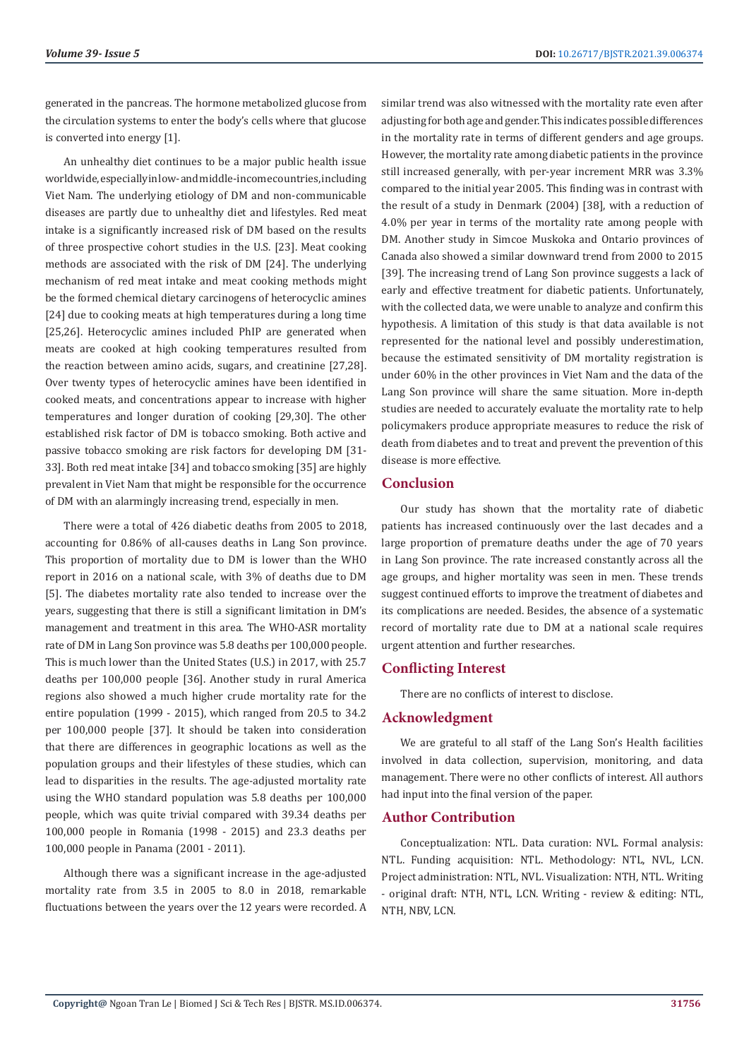generated in the pancreas. The hormone metabolized glucose from the circulation systems to enter the body's cells where that glucose is converted into energy [1].

An unhealthy diet continues to be a major public health issue worldwide, especially in low- and middle-income countries, including Viet Nam. The underlying etiology of DM and non-communicable diseases are partly due to unhealthy diet and lifestyles. Red meat intake is a significantly increased risk of DM based on the results of three prospective cohort studies in the U.S. [23]. Meat cooking methods are associated with the risk of DM [24]. The underlying mechanism of red meat intake and meat cooking methods might be the formed chemical dietary carcinogens of heterocyclic amines [24] due to cooking meats at high temperatures during a long time [25,26]. Heterocyclic amines included PhIP are generated when meats are cooked at high cooking temperatures resulted from the reaction between amino acids, sugars, and creatinine [27,28]. Over twenty types of heterocyclic amines have been identified in cooked meats, and concentrations appear to increase with higher temperatures and longer duration of cooking [29,30]. The other established risk factor of DM is tobacco smoking. Both active and passive tobacco smoking are risk factors for developing DM [31- 33]. Both red meat intake [34] and tobacco smoking [35] are highly prevalent in Viet Nam that might be responsible for the occurrence of DM with an alarmingly increasing trend, especially in men.

There were a total of 426 diabetic deaths from 2005 to 2018, accounting for 0.86% of all-causes deaths in Lang Son province. This proportion of mortality due to DM is lower than the WHO report in 2016 on a national scale, with 3% of deaths due to DM [5]. The diabetes mortality rate also tended to increase over the years, suggesting that there is still a significant limitation in DM's management and treatment in this area. The WHO-ASR mortality rate of DM in Lang Son province was 5.8 deaths per 100,000 people. This is much lower than the United States (U.S.) in 2017, with 25.7 deaths per 100,000 people [36]. Another study in rural America regions also showed a much higher crude mortality rate for the entire population (1999 - 2015), which ranged from 20.5 to 34.2 per 100,000 people [37]. It should be taken into consideration that there are differences in geographic locations as well as the population groups and their lifestyles of these studies, which can lead to disparities in the results. The age-adjusted mortality rate using the WHO standard population was 5.8 deaths per 100,000 people, which was quite trivial compared with 39.34 deaths per 100,000 people in Romania (1998 - 2015) and 23.3 deaths per 100,000 people in Panama (2001 - 2011).

Although there was a significant increase in the age-adjusted mortality rate from 3.5 in 2005 to 8.0 in 2018, remarkable fluctuations between the years over the 12 years were recorded. A similar trend was also witnessed with the mortality rate even after adjusting for both age and gender. This indicates possible differences in the mortality rate in terms of different genders and age groups. However, the mortality rate among diabetic patients in the province still increased generally, with per-year increment MRR was 3.3% compared to the initial year 2005. This finding was in contrast with the result of a study in Denmark (2004) [38], with a reduction of 4.0% per year in terms of the mortality rate among people with DM. Another study in Simcoe Muskoka and Ontario provinces of Canada also showed a similar downward trend from 2000 to 2015 [39]. The increasing trend of Lang Son province suggests a lack of early and effective treatment for diabetic patients. Unfortunately, with the collected data, we were unable to analyze and confirm this hypothesis. A limitation of this study is that data available is not represented for the national level and possibly underestimation, because the estimated sensitivity of DM mortality registration is under 60% in the other provinces in Viet Nam and the data of the Lang Son province will share the same situation. More in-depth studies are needed to accurately evaluate the mortality rate to help policymakers produce appropriate measures to reduce the risk of death from diabetes and to treat and prevent the prevention of this disease is more effective.

#### **Conclusion**

Our study has shown that the mortality rate of diabetic patients has increased continuously over the last decades and a large proportion of premature deaths under the age of 70 years in Lang Son province. The rate increased constantly across all the age groups, and higher mortality was seen in men. These trends suggest continued efforts to improve the treatment of diabetes and its complications are needed. Besides, the absence of a systematic record of mortality rate due to DM at a national scale requires urgent attention and further researches.

# **Conflicting Interest**

There are no conflicts of interest to disclose.

# **Acknowledgment**

We are grateful to all staff of the Lang Son's Health facilities involved in data collection, supervision, monitoring, and data management. There were no other conflicts of interest. All authors had input into the final version of the paper.

#### **Author Contribution**

Conceptualization: NTL. Data curation: NVL. Formal analysis: NTL. Funding acquisition: NTL. Methodology: NTL, NVL, LCN. Project administration: NTL, NVL. Visualization: NTH, NTL. Writing - original draft: NTH, NTL, LCN. Writing - review & editing: NTL, NTH, NBV, LCN.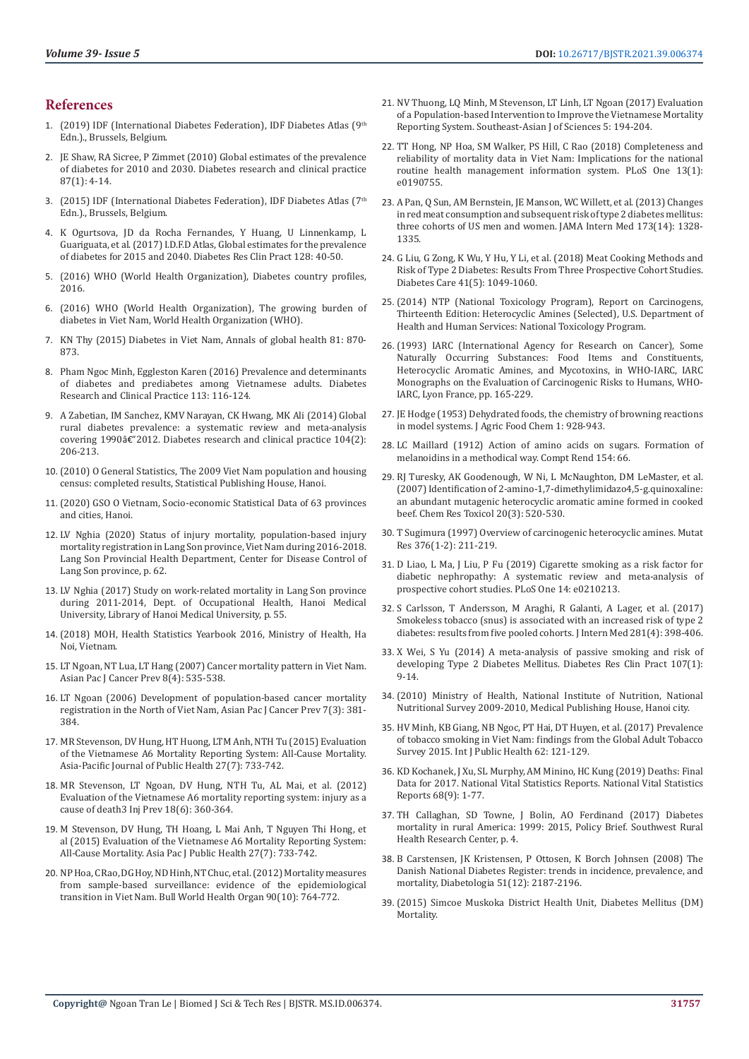#### **References**

- 1. (2019) IDF (International Diabetes Federation), IDF Diabetes Atlas (9th Edn.)., Brussels, Belgium.
- 2. [JE Shaw, RA Sicree, P Zimmet \(2010\) Global estimates of the prevalence](https://pubmed.ncbi.nlm.nih.gov/19896746/)  [of diabetes for 2010 and 2030. Diabetes research and clinical practice](https://pubmed.ncbi.nlm.nih.gov/19896746/)  [87\(1\): 4-14.](https://pubmed.ncbi.nlm.nih.gov/19896746/)
- 3. (2015) IDF (International Diabetes Federation), IDF Diabetes Atlas (7<sup>th</sup> Edn.)., Brussels, Belgium.
- 4. [K Ogurtsova, JD da Rocha Fernandes, Y Huang, U Linnenkamp, L](https://pubmed.ncbi.nlm.nih.gov/28437734/)  [Guariguata, et al. \(2017\) I.D.F.D Atlas, Global estimates for the prevalence](https://pubmed.ncbi.nlm.nih.gov/28437734/)  [of diabetes for 2015 and 2040. Diabetes Res Clin Pract 128: 40-50.](https://pubmed.ncbi.nlm.nih.gov/28437734/)
- 5. [\(2016\) WHO \(World Health Organization\), Diabetes country profiles,](https://www.who.int/diabetes/country-profiles/diabetes_profiles_explanatory_notes.pdf)  [2016.](https://www.who.int/diabetes/country-profiles/diabetes_profiles_explanatory_notes.pdf)
- 6. [\(2016\) WHO \(World Health Organization\), The growing burden of](https://www.who.int/vietnam/news/feature-stories/detail/the-growing-burden-of-diabetes-in-viet-nam)  [diabetes in Viet Nam, World Health Organization \(WHO\).](https://www.who.int/vietnam/news/feature-stories/detail/the-growing-burden-of-diabetes-in-viet-nam)
- 7. [KN Thy \(2015\) Diabetes in Viet Nam, Annals of global health 81: 870-](https://annalsofglobalhealth.org/articles/10.1016/j.aogh.2016.01.003/) [873.](https://annalsofglobalhealth.org/articles/10.1016/j.aogh.2016.01.003/)
- 8. [Pham Ngoc Minh, Eggleston Karen \(2016\) Prevalence and determinants](https://pubmed.ncbi.nlm.nih.gov/26795973/)  [of diabetes and prediabetes among Vietnamese adults. Diabetes](https://pubmed.ncbi.nlm.nih.gov/26795973/)  [Research and Clinical Practice 113: 116-124.](https://pubmed.ncbi.nlm.nih.gov/26795973/)
- 9. [A Zabetian, IM Sanchez, KMV Narayan, CK Hwang, MK Ali \(2014\) Global](https://pubmed.ncbi.nlm.nih.gov/24507869/)  [rural diabetes prevalence: a systematic review and meta-analysis](https://pubmed.ncbi.nlm.nih.gov/24507869/)  covering 1990â€["2012. Diabetes research and clinical practice 104\(2\):](https://pubmed.ncbi.nlm.nih.gov/24507869/)  [206-213.](https://pubmed.ncbi.nlm.nih.gov/24507869/)
- 10. (2010) O General Statistics, The 2009 Viet Nam population and housing census: completed results, Statistical Publishing House, Hanoi.
- 11. (2020) GSO O Vietnam, Socio-economic Statistical Data of 63 provinces and cities, Hanoi.
- 12. LV Nghia (2020) Status of injury mortality, population-based injury mortality registration in Lang Son province, Viet Nam during 2016-2018. Lang Son Provincial Health Department, Center for Disease Control of Lang Son province, p. 62.
- 13. LV Nghia (2017) Study on work-related mortality in Lang Son province during 2011-2014, Dept. of Occupational Health, Hanoi Medical University, Library of Hanoi Medical University, p. 55.
- 14. (2018) MOH, Health Statistics Yearbook 2016, Ministry of Health, Ha Noi, Vietnam.
- 15. [LT Ngoan, NT Lua, LT Hang \(2007\) Cancer mortality pattern in Viet Nam.](https://pubmed.ncbi.nlm.nih.gov/18260724/)  [Asian Pac J Cancer Prev 8\(4\): 535-538.](https://pubmed.ncbi.nlm.nih.gov/18260724/)
- 16. [LT Ngoan \(2006\) Development of population-based cancer mortality](https://pubmed.ncbi.nlm.nih.gov/17059326/)  [registration in the North of Viet Nam, Asian Pac J Cancer Prev 7\(3\): 381-](https://pubmed.ncbi.nlm.nih.gov/17059326/) [384.](https://pubmed.ncbi.nlm.nih.gov/17059326/)
- 17. [MR Stevenson, DV Hung, HT Huong, LTM Anh, NTH Tu \(2015\) Evaluation](https://pubmed.ncbi.nlm.nih.gov/26310870/)  [of the Vietnamese A6 Mortality Reporting System: All-Cause Mortality.](https://pubmed.ncbi.nlm.nih.gov/26310870/)  [Asia-Pacific Journal of Public Health 27\(7\): 733-742.](https://pubmed.ncbi.nlm.nih.gov/26310870/)
- 18. [MR Stevenson, LT Ngoan, DV Hung, NTH Tu, AL Mai, et al. \(2012\)](https://pubmed.ncbi.nlm.nih.gov/22361245/)  [Evaluation of the Vietnamese A6 mortality reporting system: injury as a](https://pubmed.ncbi.nlm.nih.gov/22361245/)  [cause of death3 Inj Prev 18\(6\): 360-364.](https://pubmed.ncbi.nlm.nih.gov/22361245/)
- 19. [M Stevenson, DV Hung, TH Hoang, L Mai Anh, T Nguyen Thi Hong, et](https://journals.sagepub.com/doi/abs/10.1177/1010539515602742?journalCode=apha)  [al \(2015\) Evaluation of the Vietnamese A6 Mortality Reporting System:](https://journals.sagepub.com/doi/abs/10.1177/1010539515602742?journalCode=apha)  [All-Cause Mortality. Asia Pac J Public Health 27\(7\): 733-742.](https://journals.sagepub.com/doi/abs/10.1177/1010539515602742?journalCode=apha)
- 20. [NP Hoa, C Rao, DG Hoy, ND Hinh, NT Chuc, et al. \(2012\) Mortality measures](https://pubmed.ncbi.nlm.nih.gov/23109744/)  [from sample-based surveillance: evidence of the epidemiological](https://pubmed.ncbi.nlm.nih.gov/23109744/)  [transition in Viet Nam. Bull World Health Organ 90\(10\): 764-772.](https://pubmed.ncbi.nlm.nih.gov/23109744/)
- 21. NV Thuong, LQ Minh, M Stevenson, LT Linh, LT Ngoan (2017) Evaluation of a Population-based Intervention to Improve the Vietnamese Mortality Reporting System. Southeast-Asian J of Sciences 5: 194-204.
- 22. TT Hong, NP Hoa, SM Walker, PS Hill, C Rao (2018) Completeness and reliability of mortality data in Viet Nam: Implications for the national routine health management information system. PLoS One 13(1): e0190755.
- 23. [A Pan, Q Sun, AM Bernstein, JE Manson, WC Willett, et al. \(2013\) Changes](https://pubmed.ncbi.nlm.nih.gov/23779232/) [in red meat consumption and subsequent risk of type 2 diabetes mellitus:](https://pubmed.ncbi.nlm.nih.gov/23779232/) [three cohorts of US men and women. JAMA Intern Med 173\(14\): 1328-](https://pubmed.ncbi.nlm.nih.gov/23779232/) [1335.](https://pubmed.ncbi.nlm.nih.gov/23779232/)
- 24. [G Liu, G Zong, K Wu, Y Hu, Y Li, et al. \(2018\) Meat Cooking Methods and](https://pubmed.ncbi.nlm.nih.gov/29530926/) [Risk of Type 2 Diabetes: Results From Three Prospective Cohort Studies.](https://pubmed.ncbi.nlm.nih.gov/29530926/) [Diabetes Care 41\(5\): 1049-1060.](https://pubmed.ncbi.nlm.nih.gov/29530926/)
- 25. [\(2014\) NTP \(National Toxicology Program\), Report on Carcinogens,](https://ntp.niehs.nih.gov/ntp/roc/content/profiles/heterocyclicamines.pdf) [Thirteenth Edition: Heterocyclic Amines \(Selected\), U.S. Department of](https://ntp.niehs.nih.gov/ntp/roc/content/profiles/heterocyclicamines.pdf) [Health and Human Services: National Toxicology Program.](https://ntp.niehs.nih.gov/ntp/roc/content/profiles/heterocyclicamines.pdf)
- 26. (1993) IARC (International Agency for Research on Cancer), Some Naturally Occurring Substances: Food Items and Constituents, Heterocyclic Aromatic Amines, and Mycotoxins, in WHO-IARC, IARC Monographs on the Evaluation of Carcinogenic Risks to Humans, WHO-IARC, Lyon France, pp. 165-229.
- 27. JE Hodge (1953) Dehydrated foods, the chemistry of browning reactions in model systems. J Agric Food Chem 1: 928-943.
- 28. [LC Maillard \(1912\) Action of amino acids on sugars. Formation of](file:///F:/New%20Journals/BJSTR.MS.ID.006374-SI/BJSTR-SPT-21-CR-304_W_SI/BJSTR-SPT-21-CR-304_W_SI/Action%20of%20amino%20acids%20on%20sugars.%20Formation%20of%20melanoidins%20in%20a%20methodical%20way) [melanoidins in a methodical way. Compt Rend 154: 66.](file:///F:/New%20Journals/BJSTR.MS.ID.006374-SI/BJSTR-SPT-21-CR-304_W_SI/BJSTR-SPT-21-CR-304_W_SI/Action%20of%20amino%20acids%20on%20sugars.%20Formation%20of%20melanoidins%20in%20a%20methodical%20way)
- 29. [RJ Turesky, AK Goodenough, W Ni, L McNaughton, DM LeMaster, et al.](https://pubmed.ncbi.nlm.nih.gov/17316027/) [\(2007\) Identification of 2-amino-1,7-dimethylimidazo4,5-g.quinoxaline:](https://pubmed.ncbi.nlm.nih.gov/17316027/) [an abundant mutagenic heterocyclic aromatic amine formed in cooked](https://pubmed.ncbi.nlm.nih.gov/17316027/) [beef. Chem Res Toxicol 20\(3\): 520-530.](https://pubmed.ncbi.nlm.nih.gov/17316027/)
- 30. [T Sugimura \(1997\) Overview of carcinogenic heterocyclic amines. Mutat](https://pubmed.ncbi.nlm.nih.gov/9202758/) [Res 376\(1-2\): 211-219.](https://pubmed.ncbi.nlm.nih.gov/9202758/)
- 31. [D Liao, L Ma, J Liu, P Fu \(2019\) Cigarette smoking as a risk factor for](https://pubmed.ncbi.nlm.nih.gov/30716100/) [diabetic nephropathy: A systematic review and meta-analysis of](https://pubmed.ncbi.nlm.nih.gov/30716100/) [prospective cohort studies. PLoS One 14: e0210213.](https://pubmed.ncbi.nlm.nih.gov/30716100/)
- 32. [S Carlsson, T Andersson, M Araghi, R Galanti, A Lager, et al. \(2017\)](https://pubmed.ncbi.nlm.nih.gov/28164394/) [Smokeless tobacco \(snus\) is associated with an increased risk of type 2](https://pubmed.ncbi.nlm.nih.gov/28164394/) [diabetes: results from five pooled cohorts. J Intern Med 281\(4\): 398-406.](https://pubmed.ncbi.nlm.nih.gov/28164394/)
- 33. [X Wei, S Yu \(2014\) A meta-analysis of passive smoking and risk of](https://pubmed.ncbi.nlm.nih.gov/25488377/) [developing Type 2 Diabetes Mellitus. Diabetes Res Clin Pract 107\(1\):](https://pubmed.ncbi.nlm.nih.gov/25488377/) [9-14.](https://pubmed.ncbi.nlm.nih.gov/25488377/)
- 34. (2010) Ministry of Health, National Institute of Nutrition, National Nutritional Survey 2009-2010, Medical Publishing House, Hanoi city.
- 35. [HV Minh, KB Giang, NB Ngoc, PT Hai, DT Huyen, et al. \(2017\) Prevalence](https://link.springer.com/article/10.1007/s00038-017-0955-8) [of tobacco smoking in Viet Nam: findings from the Global Adult Tobacco](https://link.springer.com/article/10.1007/s00038-017-0955-8) [Survey 2015. Int J Public Health 62: 121-129.](https://link.springer.com/article/10.1007/s00038-017-0955-8)
- 36. KD Kochanek, J Xu, SL Murphy, AM Minino, HC Kung (2019) Deaths: Final Data for 2017. National Vital Statistics Reports. National Vital Statistics Reports 68(9): 1-77.
- 37. [TH Callaghan, SD Towne, J Bolin, AO Ferdinand \(2017\) Diabetes](https://srhrc.tamhsc.edu/docs/srhrc-pb2-callaghan-diabetes.pdf) [mortality in rural America: 1999: 2015, Policy Brief. Southwest Rural](https://srhrc.tamhsc.edu/docs/srhrc-pb2-callaghan-diabetes.pdf) [Health Research Center, p. 4.](https://srhrc.tamhsc.edu/docs/srhrc-pb2-callaghan-diabetes.pdf)
- 38. [B Carstensen, JK Kristensen, P Ottosen, K Borch Johnsen \(2008\) The](https://pubmed.ncbi.nlm.nih.gov/18815769/) [Danish National Diabetes Register: trends in incidence, prevalence, and](https://pubmed.ncbi.nlm.nih.gov/18815769/) [mortality, Diabetologia 51\(12\): 2187-2196.](https://pubmed.ncbi.nlm.nih.gov/18815769/)
- 39. (2015) Simcoe Muskoka District Health Unit, Diabetes Mellitus (DM) Mortality.